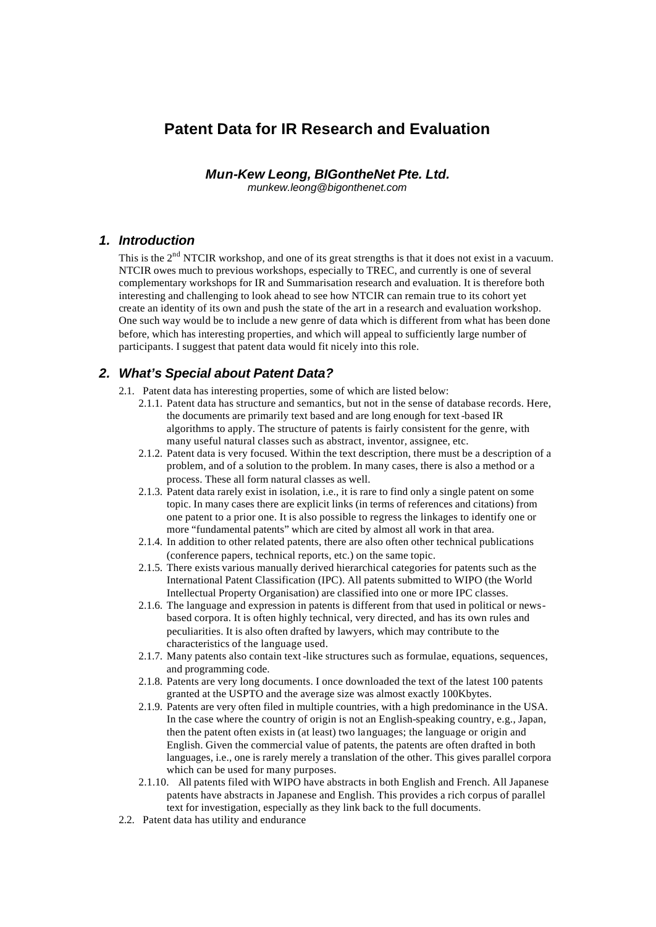# **Patent Data for IR Research and Evaluation**

*Mun-Kew Leong, BIGontheNet Pte. Ltd.*

*munkew.leong@bigonthenet.com*

### *1. Introduction*

This is the 2<sup>nd</sup> NTCIR workshop, and one of its great strengths is that it does not exist in a vacuum. NTCIR owes much to previous workshops, especially to TREC, and currently is one of several complementary workshops for IR and Summarisation research and evaluation. It is therefore both interesting and challenging to look ahead to see how NTCIR can remain true to its cohort yet create an identity of its own and push the state of the art in a research and evaluation workshop. One such way would be to include a new genre of data which is different from what has been done before, which has interesting properties, and which will appeal to sufficiently large number of participants. I suggest that patent data would fit nicely into this role.

### *2. What's Special about Patent Data?*

- 2.1. Patent data has interesting properties, some of which are listed below:
	- 2.1.1. Patent data has structure and semantics, but not in the sense of database records. Here, the documents are primarily text based and are long enough for text-based IR algorithms to apply. The structure of patents is fairly consistent for the genre, with many useful natural classes such as abstract, inventor, assignee, etc.
	- 2.1.2. Patent data is very focused. Within the text description, there must be a description of a problem, and of a solution to the problem. In many cases, there is also a method or a process. These all form natural classes as well.
	- 2.1.3. Patent data rarely exist in isolation, i.e., it is rare to find only a single patent on some topic. In many cases there are explicit links (in terms of references and citations) from one patent to a prior one. It is also possible to regress the linkages to identify one or more "fundamental patents" which are cited by almost all work in that area.
	- 2.1.4. In addition to other related patents, there are also often other technical publications (conference papers, technical reports, etc.) on the same topic.
	- 2.1.5. There exists various manually derived hierarchical categories for patents such as the International Patent Classification (IPC). All patents submitted to WIPO (the World Intellectual Property Organisation) are classified into one or more IPC classes.
	- 2.1.6. The language and expression in patents is different from that used in political or newsbased corpora. It is often highly technical, very directed, and has its own rules and peculiarities. It is also often drafted by lawyers, which may contribute to the characteristics of the language used.
	- 2.1.7. Many patents also contain text -like structures such as formulae, equations, sequences, and programming code.
	- 2.1.8. Patents are very long documents. I once downloaded the text of the latest 100 patents granted at the USPTO and the average size was almost exactly 100Kbytes.
	- 2.1.9. Patents are very often filed in multiple countries, with a high predominance in the USA. In the case where the country of origin is not an English-speaking country, e.g., Japan, then the patent often exists in (at least) two languages; the language or origin and English. Given the commercial value of patents, the patents are often drafted in both languages, i.e., one is rarely merely a translation of the other. This gives parallel corpora which can be used for many purposes.
	- 2.1.10. All patents filed with WIPO have abstracts in both English and French. All Japanese patents have abstracts in Japanese and English. This provides a rich corpus of parallel text for investigation, especially as they link back to the full documents.
- 2.2. Patent data has utility and endurance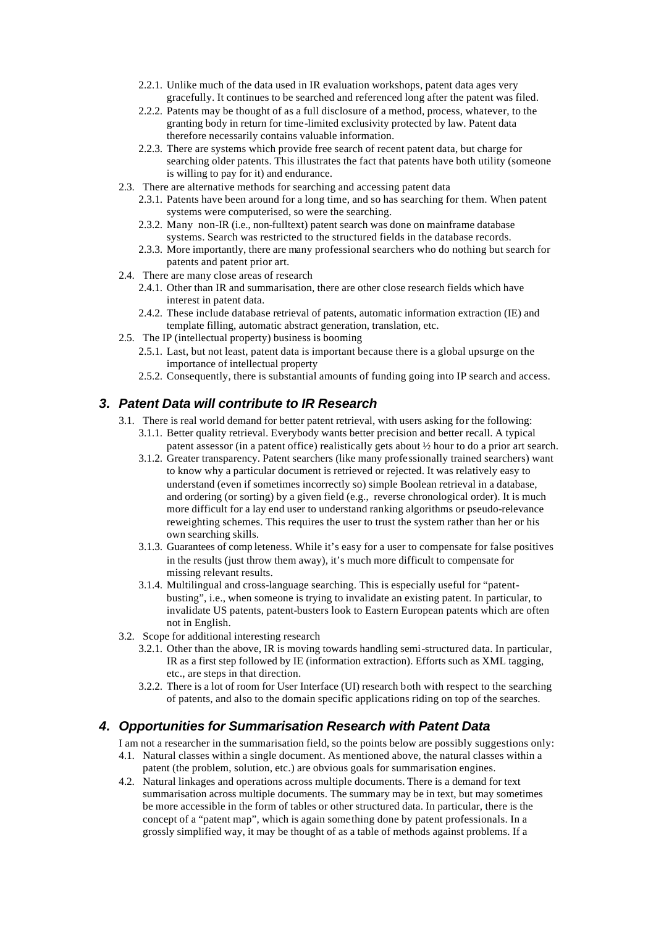- 2.2.1. Unlike much of the data used in IR evaluation workshops, patent data ages very gracefully. It continues to be searched and referenced long after the patent was filed.
- 2.2.2. Patents may be thought of as a full disclosure of a method, process, whatever, to the granting body in return for time-limited exclusivity protected by law. Patent data therefore necessarily contains valuable information.
- 2.2.3. There are systems which provide free search of recent patent data, but charge for searching older patents. This illustrates the fact that patents have both utility (someone is willing to pay for it) and endurance.
- 2.3. There are alternative methods for searching and accessing patent data
	- 2.3.1. Patents have been around for a long time, and so has searching for them. When patent systems were computerised, so were the searching.
	- 2.3.2. Many non-IR (i.e., non-fulltext) patent search was done on mainframe database systems. Search was restricted to the structured fields in the database records.
	- 2.3.3. More importantly, there are many professional searchers who do nothing but search for patents and patent prior art.
- 2.4. There are many close areas of research
	- 2.4.1. Other than IR and summarisation, there are other close research fields which have interest in patent data.
	- 2.4.2. These include database retrieval of patents, automatic information extraction (IE) and template filling, automatic abstract generation, translation, etc.
- 2.5. The IP (intellectual property) business is booming
	- 2.5.1. Last, but not least, patent data is important because there is a global upsurge on the importance of intellectual property
	- 2.5.2. Consequently, there is substantial amounts of funding going into IP search and access.

## *3. Patent Data will contribute to IR Research*

- 3.1. There is real world demand for better patent retrieval, with users asking for the following: 3.1.1. Better quality retrieval. Everybody wants better precision and better recall. A typical
	- patent assessor (in a patent office) realistically gets about ½ hour to do a prior art search. 3.1.2. Greater transparency. Patent searchers (like many professionally trained searchers) want
	- to know why a particular document is retrieved or rejected. It was relatively easy to understand (even if sometimes incorrectly so) simple Boolean retrieval in a database, and ordering (or sorting) by a given field (e.g., reverse chronological order). It is much more difficult for a lay end user to understand ranking algorithms or pseudo-relevance reweighting schemes. This requires the user to trust the system rather than her or his own searching skills.
	- 3.1.3. Guarantees of comp leteness. While it's easy for a user to compensate for false positives in the results (just throw them away), it's much more difficult to compensate for missing relevant results.
	- 3.1.4. Multilingual and cross-language searching. This is especially useful for "patentbusting", i.e., when someone is trying to invalidate an existing patent. In particular, to invalidate US patents, patent-busters look to Eastern European patents which are often not in English.
- 3.2. Scope for additional interesting research
	- 3.2.1. Other than the above, IR is moving towards handling semi-structured data. In particular, IR as a first step followed by IE (information extraction). Efforts such as XML tagging, etc., are steps in that direction.
	- 3.2.2. There is a lot of room for User Interface (UI) research both with respect to the searching of patents, and also to the domain specific applications riding on top of the searches.

### *4. Opportunities for Summarisation Research with Patent Data*

I am not a researcher in the summarisation field, so the points below are possibly suggestions only:

- 4.1. Natural classes within a single document. As mentioned above, the natural classes within a patent (the problem, solution, etc.) are obvious goals for summarisation engines.
- 4.2. Natural linkages and operations across multiple documents. There is a demand for text summarisation across multiple documents. The summary may be in text, but may sometimes be more accessible in the form of tables or other structured data. In particular, there is the concept of a "patent map", which is again something done by patent professionals. In a grossly simplified way, it may be thought of as a table of methods against problems. If a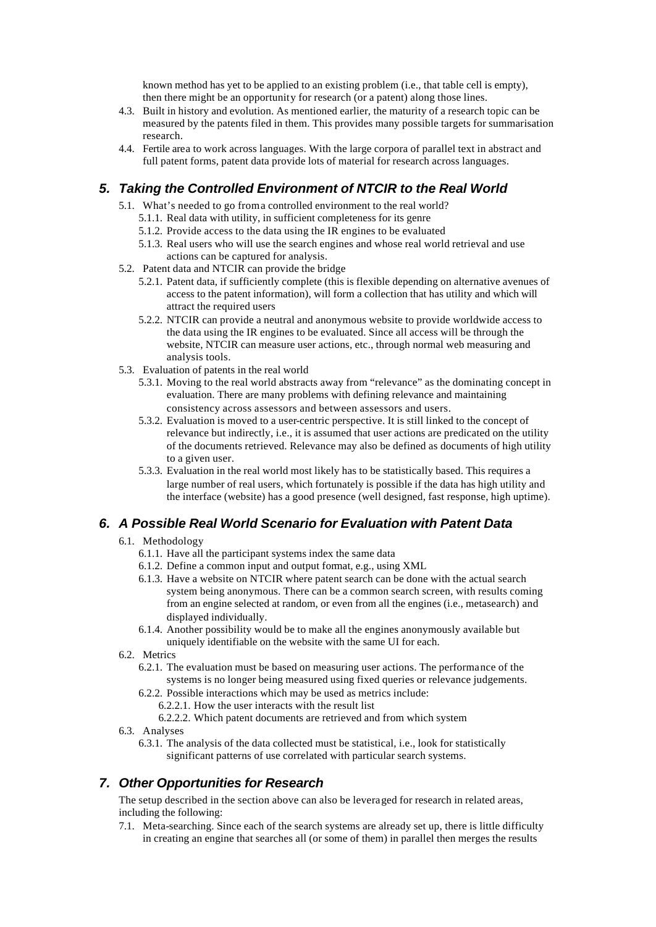known method has yet to be applied to an existing problem (i.e., that table cell is empty), then there might be an opportunity for research (or a patent) along those lines.

- 4.3. Built in history and evolution. As mentioned earlier, the maturity of a research topic can be measured by the patents filed in them. This provides many possible targets for summarisation research.
- 4.4. Fertile area to work across languages. With the large corpora of parallel text in abstract and full patent forms, patent data provide lots of material for research across languages.

## *5. Taking the Controlled Environment of NTCIR to the Real World*

- 5.1. What's needed to go from a controlled environment to the real world?
	- 5.1.1. Real data with utility, in sufficient completeness for its genre
	- 5.1.2. Provide access to the data using the IR engines to be evaluated
	- 5.1.3. Real users who will use the search engines and whose real world retrieval and use actions can be captured for analysis.
- 5.2. Patent data and NTCIR can provide the bridge
	- 5.2.1. Patent data, if sufficiently complete (this is flexible depending on alternative avenues of access to the patent information), will form a collection that has utility and which will attract the required users
	- 5.2.2. NTCIR can provide a neutral and anonymous website to provide worldwide access to the data using the IR engines to be evaluated. Since all access will be through the website, NTCIR can measure user actions, etc., through normal web measuring and analysis tools.
- 5.3. Evaluation of patents in the real world
	- 5.3.1. Moving to the real world abstracts away from "relevance" as the dominating concept in evaluation. There are many problems with defining relevance and maintaining consistency across assessors and between assessors and users.
	- 5.3.2. Evaluation is moved to a user-centric perspective. It is still linked to the concept of relevance but indirectly, i.e., it is assumed that user actions are predicated on the utility of the documents retrieved. Relevance may also be defined as documents of high utility to a given user.
	- 5.3.3. Evaluation in the real world most likely has to be statistically based. This requires a large number of real users, which fortunately is possible if the data has high utility and the interface (website) has a good presence (well designed, fast response, high uptime).

## *6. A Possible Real World Scenario for Evaluation with Patent Data*

- 6.1. Methodology
	- 6.1.1. Have all the participant systems index the same data
	- 6.1.2. Define a common input and output format, e.g., using XML
	- 6.1.3. Have a website on NTCIR where patent search can be done with the actual search system being anonymous. There can be a common search screen, with results coming from an engine selected at random, or even from all the engines (i.e., metasearch) and displayed individually.
	- 6.1.4. Another possibility would be to make all the engines anonymously available but uniquely identifiable on the website with the same UI for each.
- 6.2. Metrics
	- 6.2.1. The evaluation must be based on measuring user actions. The performance of the systems is no longer being measured using fixed queries or relevance judgements.
	- 6.2.2. Possible interactions which may be used as metrics include:
		- 6.2.2.1. How the user interacts with the result list
		- 6.2.2.2. Which patent documents are retrieved and from which system
- 6.3. Analyses
	- 6.3.1. The analysis of the data collected must be statistical, i.e., look for statistically significant patterns of use correlated with particular search systems.

## *7. Other Opportunities for Research*

The setup described in the section above can also be leveraged for research in related areas, including the following:

7.1. Meta-searching. Since each of the search systems are already set up, there is little difficulty in creating an engine that searches all (or some of them) in parallel then merges the results